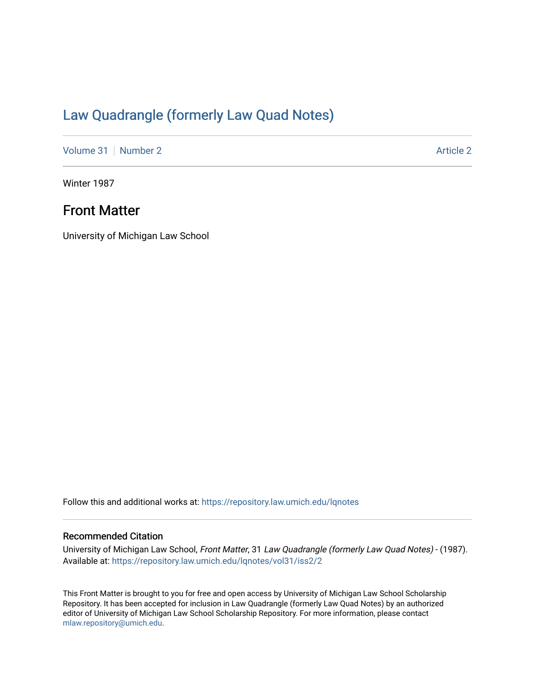# [Law Quadrangle \(formerly Law Quad Notes\)](https://repository.law.umich.edu/lqnotes)

[Volume 31](https://repository.law.umich.edu/lqnotes/vol31) [Number 2](https://repository.law.umich.edu/lqnotes/vol31/iss2) Article 2

Winter 1987

# Front Matter

University of Michigan Law School

Follow this and additional works at: [https://repository.law.umich.edu/lqnotes](https://repository.law.umich.edu/lqnotes?utm_source=repository.law.umich.edu%2Flqnotes%2Fvol31%2Fiss2%2F2&utm_medium=PDF&utm_campaign=PDFCoverPages) 

## Recommended Citation

University of Michigan Law School, Front Matter, 31 Law Quadrangle (formerly Law Quad Notes) - (1987). Available at: [https://repository.law.umich.edu/lqnotes/vol31/iss2/2](https://repository.law.umich.edu/lqnotes/vol31/iss2/2?utm_source=repository.law.umich.edu%2Flqnotes%2Fvol31%2Fiss2%2F2&utm_medium=PDF&utm_campaign=PDFCoverPages) 

This Front Matter is brought to you for free and open access by University of Michigan Law School Scholarship Repository. It has been accepted for inclusion in Law Quadrangle (formerly Law Quad Notes) by an authorized editor of University of Michigan Law School Scholarship Repository. For more information, please contact [mlaw.repository@umich.edu.](mailto:mlaw.repository@umich.edu)